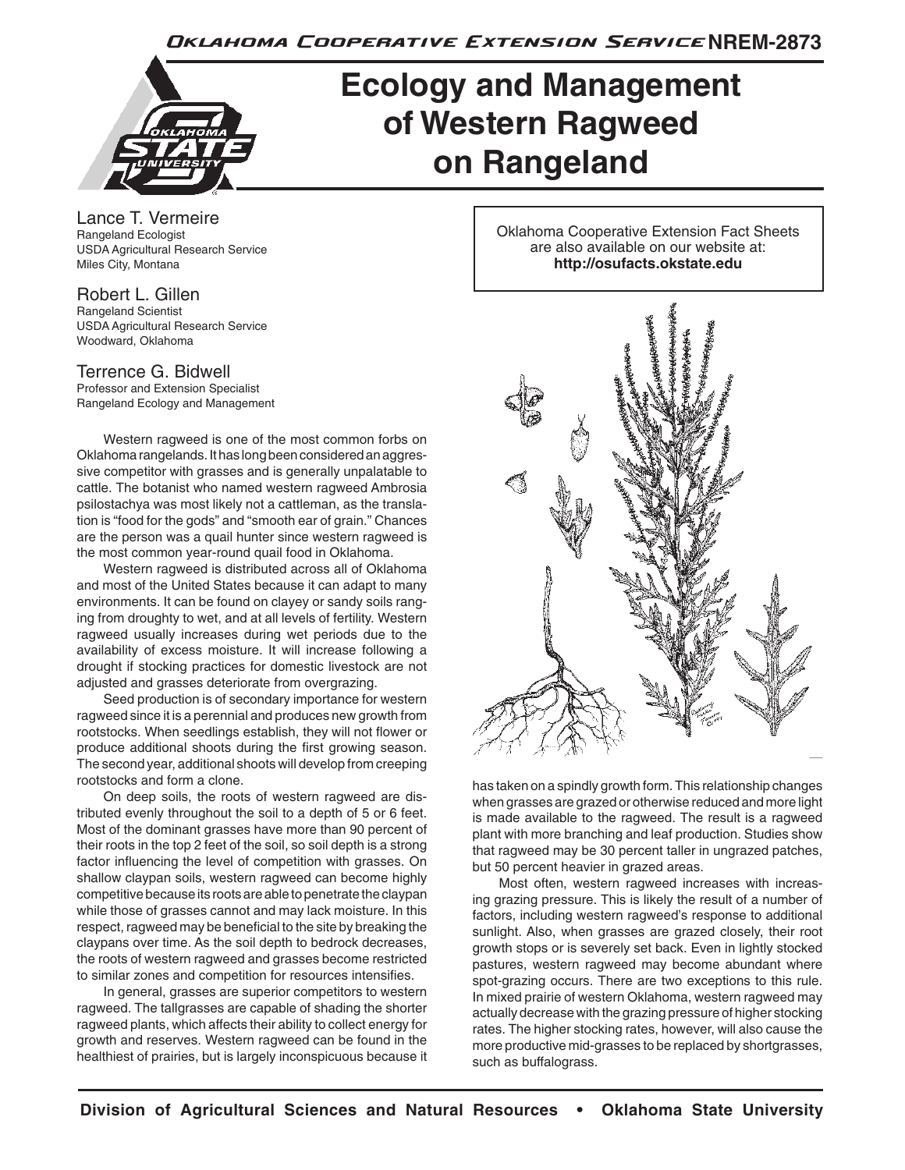Oklahoma Cooperative Extension Service NREM-2873



# **Ecology and Management of Western Ragweed on Rangeland**

Lance T. Vermeire Rangeland Ecologist USDA Agricultural Research Service Miles City, Montana

#### Robert L. Gillen Rangeland Scientist USDA Agricultural Research Service Woodward, Oklahoma

## Terrence G. Bidwell

Professor and Extension Specialist Rangeland Ecology and Management

Western ragweed is one of the most common forbs on Oklahoma rangelands. It has long been considered an aggressive competitor with grasses and is generally unpalatable to cattle. The botanist who named western ragweed Ambrosia psilostachya was most likely not a cattleman, as the translation is "food for the gods" and "smooth ear of grain." Chances are the person was a quail hunter since western ragweed is the most common year-round quail food in Oklahoma.

Western ragweed is distributed across all of Oklahoma and most of the United States because it can adapt to many environments. It can be found on clayey or sandy soils ranging from droughty to wet, and at all levels of fertility. Western ragweed usually increases during wet periods due to the availability of excess moisture. It will increase following a drought if stocking practices for domestic livestock are not adjusted and grasses deteriorate from overgrazing.

Seed production is of secondary importance for western ragweed since it is a perennial and produces new growth from rootstocks. When seedlings establish, they will not flower or produce additional shoots during the first growing season. The second year, additional shoots will develop from creeping rootstocks and form a clone.

On deep soils, the roots of western ragweed are distributed evenly throughout the soil to a depth of 5 or 6 feet. Most of the dominant grasses have more than 90 percent of their roots in the top 2 feet of the soil, so soil depth is a strong factor influencing the level of competition with grasses. On shallow claypan soils, western ragweed can become highly competitive because its roots are able to penetrate the claypan while those of grasses cannot and may lack moisture. In this respect, ragweed may be beneficial to the site by breaking the claypans over time. As the soil depth to bedrock decreases, the roots of western ragweed and grasses become restricted to similar zones and competition for resources intensifies.

In general, grasses are superior competitors to western ragweed. The tallgrasses are capable of shading the shorter ragweed plants, which affects their ability to collect energy for growth and reserves. Western ragweed can be found in the healthiest of prairies, but is largely inconspicuous because it Oklahoma Cooperative Extension Fact Sheets are also available on our website at: **http://osufacts.okstate.edu**



has taken on a spindly growth form. This relationship changes when grasses are grazed or otherwise reduced and more light is made available to the ragweed. The result is a ragweed plant with more branching and leaf production. Studies show that ragweed may be 30 percent taller in ungrazed patches, but 50 percent heavier in grazed areas.

Most often, western ragweed increases with increasing grazing pressure. This is likely the result of a number of factors, including western ragweed's response to additional sunlight. Also, when grasses are grazed closely, their root growth stops or is severely set back. Even in lightly stocked pastures, western ragweed may become abundant where spot-grazing occurs. There are two exceptions to this rule. In mixed prairie of western Oklahoma, western ragweed may actually decrease with the grazing pressure of higher stocking rates. The higher stocking rates, however, will also cause the more productive mid-grasses to be replaced by shortgrasses, such as buffalograss.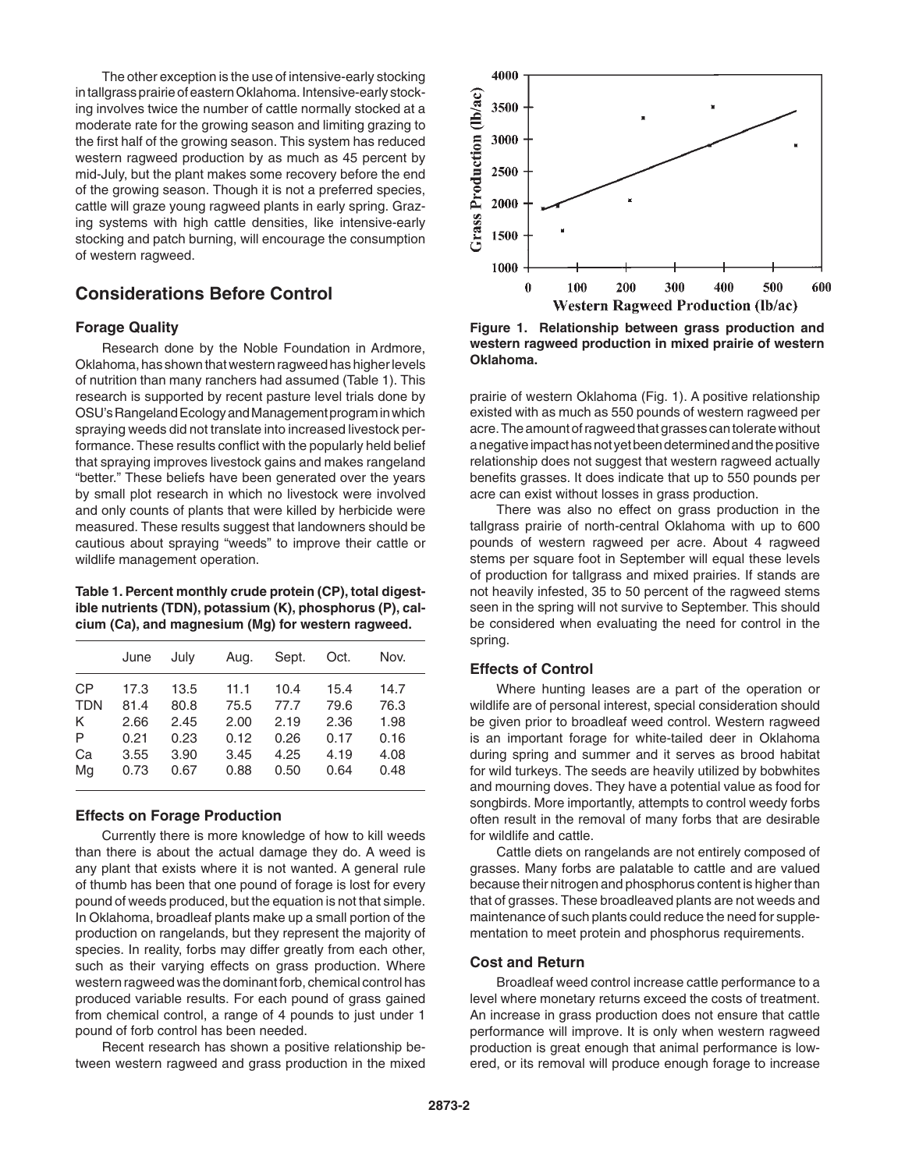The other exception is the use of intensive-early stocking in tallgrass prairie of eastern Oklahoma. Intensive-early stocking involves twice the number of cattle normally stocked at a moderate rate for the growing season and limiting grazing to the first half of the growing season. This system has reduced western ragweed production by as much as 45 percent by mid-July, but the plant makes some recovery before the end of the growing season. Though it is not a preferred species, cattle will graze young ragweed plants in early spring. Grazing systems with high cattle densities, like intensive-early stocking and patch burning, will encourage the consumption of western ragweed.

## **Considerations Before Control**

## **Forage Quality**

Research done by the Noble Foundation in Ardmore, Oklahoma, has shown that western ragweed has higher levels of nutrition than many ranchers had assumed (Table 1). This research is supported by recent pasture level trials done by OSU's Rangeland Ecology and Management program in which spraying weeds did not translate into increased livestock performance. These results conflict with the popularly held belief that spraying improves livestock gains and makes rangeland "better." These beliefs have been generated over the years by small plot research in which no livestock were involved and only counts of plants that were killed by herbicide were measured. These results suggest that landowners should be cautious about spraying "weeds" to improve their cattle or wildlife management operation.

**Table 1. Percent monthly crude protein (CP), total digestible nutrients (TDN), potassium (K), phosphorus (P), calcium (Ca), and magnesium (Mg) for western ragweed.**

|            | June | July | Aug. | Sept. | Oct. | Nov. |
|------------|------|------|------|-------|------|------|
| <b>CP</b>  | 17.3 | 13.5 | 11.1 | 10.4  | 15.4 | 14.7 |
| <b>TDN</b> | 81.4 | 80.8 | 75.5 | 77.7  | 79.6 | 76.3 |
| K          | 2.66 | 2.45 | 2.00 | 2.19  | 2.36 | 1.98 |
| P          | 0.21 | 0.23 | 0.12 | 0.26  | 0.17 | 0.16 |
| Ca         | 3.55 | 3.90 | 3.45 | 4.25  | 4.19 | 4.08 |
| Mg         | 0.73 | 0.67 | 0.88 | 0.50  | 0.64 | 0.48 |

#### **Effects on Forage Production**

Currently there is more knowledge of how to kill weeds than there is about the actual damage they do. A weed is any plant that exists where it is not wanted. A general rule of thumb has been that one pound of forage is lost for every pound of weeds produced, but the equation is not that simple. In Oklahoma, broadleaf plants make up a small portion of the production on rangelands, but they represent the majority of species. In reality, forbs may differ greatly from each other, such as their varying effects on grass production. Where western ragweed was the dominant forb, chemical control has produced variable results. For each pound of grass gained from chemical control, a range of 4 pounds to just under 1 pound of forb control has been needed.

Recent research has shown a positive relationship between western ragweed and grass production in the mixed



**Figure 1. Relationship between grass production and western ragweed production in mixed prairie of western Oklahoma.**

prairie of western Oklahoma (Fig. 1). A positive relationship existed with as much as 550 pounds of western ragweed per acre. The amount of ragweed that grasses can tolerate without a negative impact has not yet been determined and the positive relationship does not suggest that western ragweed actually benefits grasses. It does indicate that up to 550 pounds per acre can exist without losses in grass production.

There was also no effect on grass production in the tallgrass prairie of north-central Oklahoma with up to 600 pounds of western ragweed per acre. About 4 ragweed stems per square foot in September will equal these levels of production for tallgrass and mixed prairies. If stands are not heavily infested, 35 to 50 percent of the ragweed stems seen in the spring will not survive to September. This should be considered when evaluating the need for control in the spring.

## **Effects of Control**

Where hunting leases are a part of the operation or wildlife are of personal interest, special consideration should be given prior to broadleaf weed control. Western ragweed is an important forage for white-tailed deer in Oklahoma during spring and summer and it serves as brood habitat for wild turkeys. The seeds are heavily utilized by bobwhites and mourning doves. They have a potential value as food for songbirds. More importantly, attempts to control weedy forbs often result in the removal of many forbs that are desirable for wildlife and cattle.

Cattle diets on rangelands are not entirely composed of grasses. Many forbs are palatable to cattle and are valued because their nitrogen and phosphorus content is higher than that of grasses. These broadleaved plants are not weeds and maintenance of such plants could reduce the need for supplementation to meet protein and phosphorus requirements.

#### **Cost and Return**

Broadleaf weed control increase cattle performance to a level where monetary returns exceed the costs of treatment. An increase in grass production does not ensure that cattle performance will improve. It is only when western ragweed production is great enough that animal performance is lowered, or its removal will produce enough forage to increase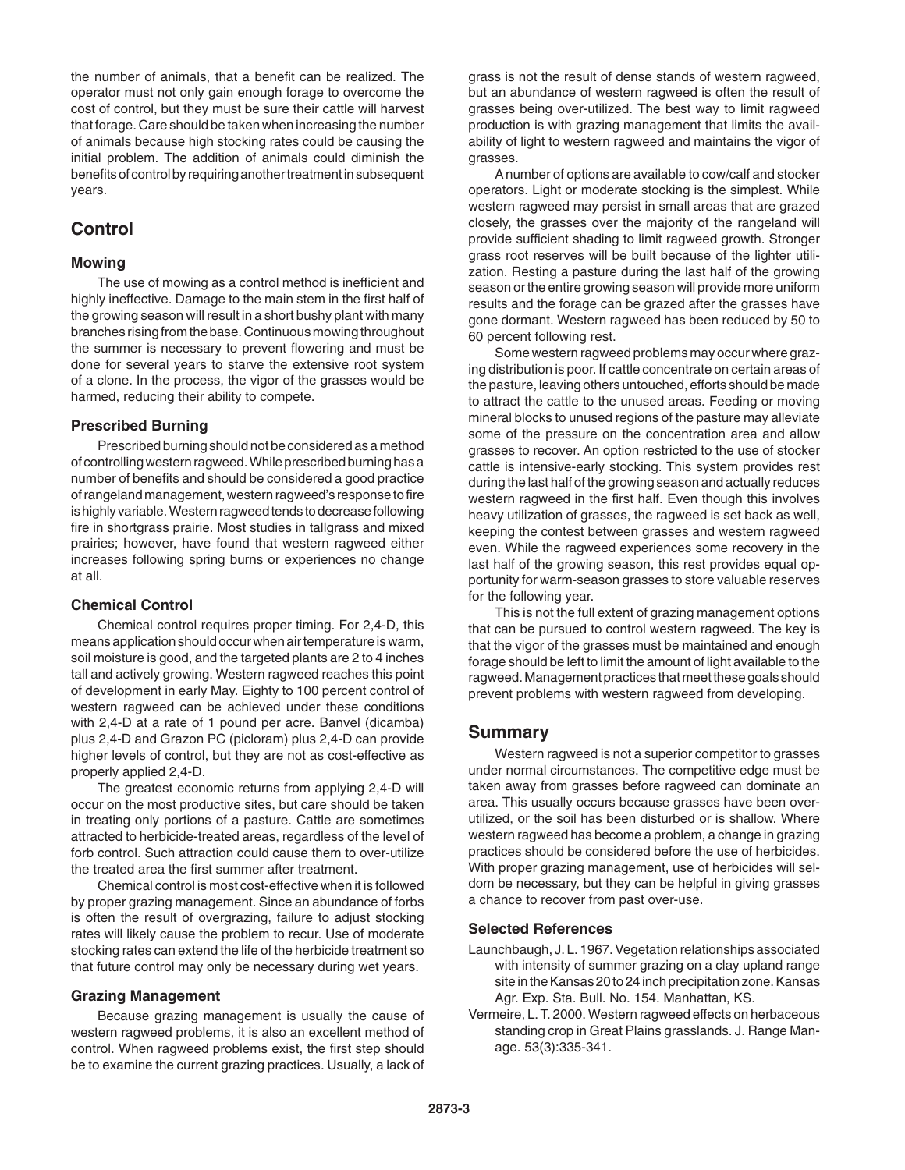the number of animals, that a benefit can be realized. The operator must not only gain enough forage to overcome the cost of control, but they must be sure their cattle will harvest that forage. Care should be taken when increasing the number of animals because high stocking rates could be causing the initial problem. The addition of animals could diminish the benefits of control by requiring another treatment in subsequent years.

## **Control**

## **Mowing**

The use of mowing as a control method is inefficient and highly ineffective. Damage to the main stem in the first half of the growing season will result in a short bushy plant with many branches rising from the base. Continuous mowing throughout the summer is necessary to prevent flowering and must be done for several years to starve the extensive root system of a clone. In the process, the vigor of the grasses would be harmed, reducing their ability to compete.

## **Prescribed Burning**

Prescribed burning should not be considered as a method of controlling western ragweed. While prescribed burning has a number of benefits and should be considered a good practice of rangeland management, western ragweed's response to fire is highly variable. Western ragweed tends to decrease following fire in shortgrass prairie. Most studies in tallgrass and mixed prairies; however, have found that western ragweed either increases following spring burns or experiences no change at all.

## **Chemical Control**

Chemical control requires proper timing. For 2,4-D, this means application should occur when air temperature is warm, soil moisture is good, and the targeted plants are 2 to 4 inches tall and actively growing. Western ragweed reaches this point of development in early May. Eighty to 100 percent control of western ragweed can be achieved under these conditions with 2,4-D at a rate of 1 pound per acre. Banvel (dicamba) plus 2,4-D and Grazon PC (picloram) plus 2,4-D can provide higher levels of control, but they are not as cost-effective as properly applied 2,4-D.

The greatest economic returns from applying 2,4-D will occur on the most productive sites, but care should be taken in treating only portions of a pasture. Cattle are sometimes attracted to herbicide-treated areas, regardless of the level of forb control. Such attraction could cause them to over-utilize the treated area the first summer after treatment.

Chemical control is most cost-effective when it is followed by proper grazing management. Since an abundance of forbs is often the result of overgrazing, failure to adjust stocking rates will likely cause the problem to recur. Use of moderate stocking rates can extend the life of the herbicide treatment so that future control may only be necessary during wet years.

## **Grazing Management**

Because grazing management is usually the cause of western ragweed problems, it is also an excellent method of control. When ragweed problems exist, the first step should be to examine the current grazing practices. Usually, a lack of

grass is not the result of dense stands of western ragweed, but an abundance of western ragweed is often the result of grasses being over-utilized. The best way to limit ragweed production is with grazing management that limits the availability of light to western ragweed and maintains the vigor of grasses.

A number of options are available to cow/calf and stocker operators. Light or moderate stocking is the simplest. While western ragweed may persist in small areas that are grazed closely, the grasses over the majority of the rangeland will provide sufficient shading to limit ragweed growth. Stronger grass root reserves will be built because of the lighter utilization. Resting a pasture during the last half of the growing season or the entire growing season will provide more uniform results and the forage can be grazed after the grasses have gone dormant. Western ragweed has been reduced by 50 to 60 percent following rest.

Some western ragweed problems may occur where grazing distribution is poor. If cattle concentrate on certain areas of the pasture, leaving others untouched, efforts should be made to attract the cattle to the unused areas. Feeding or moving mineral blocks to unused regions of the pasture may alleviate some of the pressure on the concentration area and allow grasses to recover. An option restricted to the use of stocker cattle is intensive-early stocking. This system provides rest during the last half of the growing season and actually reduces western ragweed in the first half. Even though this involves heavy utilization of grasses, the ragweed is set back as well, keeping the contest between grasses and western ragweed even. While the ragweed experiences some recovery in the last half of the growing season, this rest provides equal opportunity for warm-season grasses to store valuable reserves for the following year.

This is not the full extent of grazing management options that can be pursued to control western ragweed. The key is that the vigor of the grasses must be maintained and enough forage should be left to limit the amount of light available to the ragweed. Management practices that meet these goals should prevent problems with western ragweed from developing.

## **Summary**

Western ragweed is not a superior competitor to grasses under normal circumstances. The competitive edge must be taken away from grasses before ragweed can dominate an area. This usually occurs because grasses have been overutilized, or the soil has been disturbed or is shallow. Where western ragweed has become a problem, a change in grazing practices should be considered before the use of herbicides. With proper grazing management, use of herbicides will seldom be necessary, but they can be helpful in giving grasses a chance to recover from past over-use.

## **Selected References**

- Launchbaugh, J. L. 1967. Vegetation relationships associated with intensity of summer grazing on a clay upland range site in the Kansas 20 to 24 inch precipitation zone. Kansas Agr. Exp. Sta. Bull. No. 154. Manhattan, KS.
- Vermeire, L. T. 2000. Western ragweed effects on herbaceous standing crop in Great Plains grasslands. J. Range Manage. 53(3):335-341.